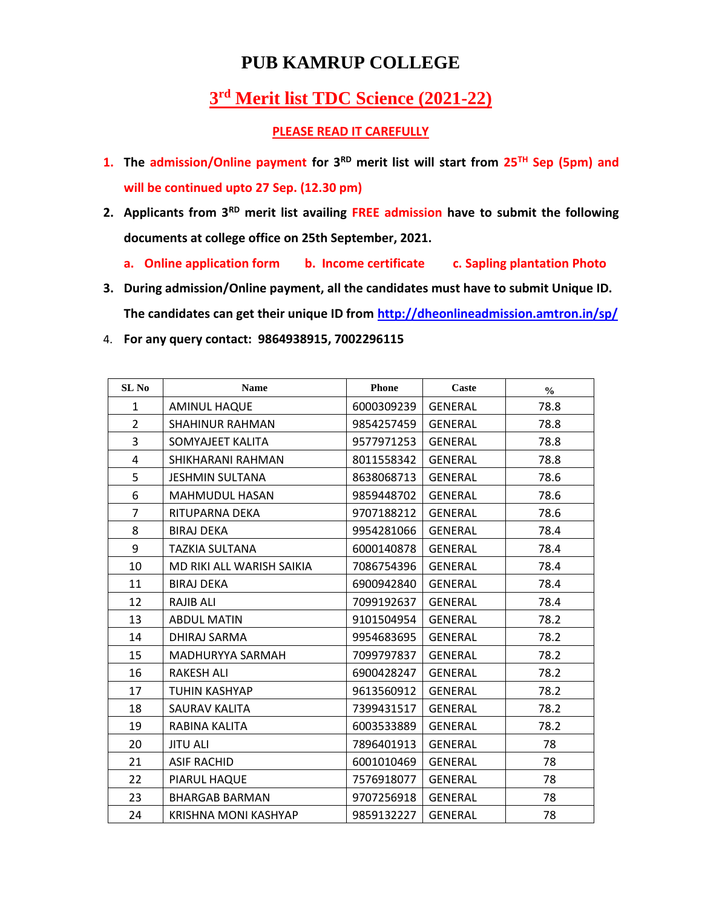## **PUB KAMRUP COLLEGE**

## **rd Merit list TDC Science (2021-22)**

## **PLEASE READ IT CAREFULLY**

- **1. The admission/Online payment for 3 RD merit list will start from 25TH Sep (5pm) and will be continued upto 27 Sep. (12.30 pm)**
- **2. Applicants from 3RD merit list availing FREE admission have to submit the following documents at college office on 25th September, 2021.**
	- **a. Online application form b. Income certificate c. Sapling plantation Photo**
- **3. During admission/Online payment, all the candidates must have to submit Unique ID. The candidates can get their unique ID from<http://dheonlineadmission.amtron.in/sp/>**
- 4. **For any query contact: 9864938915, 7002296115**

| SL No          | <b>Name</b>                 | <b>Phone</b> | Caste          | $\frac{0}{0}$ |
|----------------|-----------------------------|--------------|----------------|---------------|
| $\mathbf{1}$   | <b>AMINUL HAQUE</b>         | 6000309239   | <b>GENERAL</b> | 78.8          |
| $\overline{2}$ | <b>SHAHINUR RAHMAN</b>      | 9854257459   | <b>GENERAL</b> | 78.8          |
| $\overline{3}$ | SOMYAJEET KALITA            | 9577971253   | <b>GENERAL</b> | 78.8          |
| 4              | SHIKHARANI RAHMAN           | 8011558342   | <b>GENERAL</b> | 78.8          |
| 5              | <b>JESHMIN SULTANA</b>      | 8638068713   | <b>GENERAL</b> | 78.6          |
| 6              | MAHMUDUL HASAN              | 9859448702   | <b>GENERAL</b> | 78.6          |
| $\overline{7}$ | RITUPARNA DEKA              | 9707188212   | <b>GENERAL</b> | 78.6          |
| 8              | <b>BIRAJ DEKA</b>           | 9954281066   | <b>GENERAL</b> | 78.4          |
| 9              | TAZKIA SULTANA              | 6000140878   | <b>GENERAL</b> | 78.4          |
| 10             | MD RIKI ALL WARISH SAIKIA   | 7086754396   | <b>GENERAL</b> | 78.4          |
| 11             | <b>BIRAJ DEKA</b>           | 6900942840   | <b>GENERAL</b> | 78.4          |
| 12             | RAJIB ALI                   | 7099192637   | <b>GENERAL</b> | 78.4          |
| 13             | <b>ABDUL MATIN</b>          | 9101504954   | <b>GENERAL</b> | 78.2          |
| 14             | DHIRAJ SARMA                | 9954683695   | <b>GENERAL</b> | 78.2          |
| 15             | MADHURYYA SARMAH            | 7099797837   | <b>GENERAL</b> | 78.2          |
| 16             | <b>RAKESH ALI</b>           | 6900428247   | <b>GENERAL</b> | 78.2          |
| 17             | TUHIN KASHYAP               | 9613560912   | <b>GENERAL</b> | 78.2          |
| 18             | SAURAV KALITA               | 7399431517   | <b>GENERAL</b> | 78.2          |
| 19             | RABINA KALITA               | 6003533889   | <b>GENERAL</b> | 78.2          |
| 20             | <b>JITU ALI</b>             | 7896401913   | <b>GENERAL</b> | 78            |
| 21             | <b>ASIF RACHID</b>          | 6001010469   | <b>GENERAL</b> | 78            |
| 22             | PIARUL HAQUE                | 7576918077   | <b>GENERAL</b> | 78            |
| 23             | <b>BHARGAB BARMAN</b>       | 9707256918   | <b>GENERAL</b> | 78            |
| 24             | <b>KRISHNA MONI KASHYAP</b> | 9859132227   | <b>GENERAL</b> | 78            |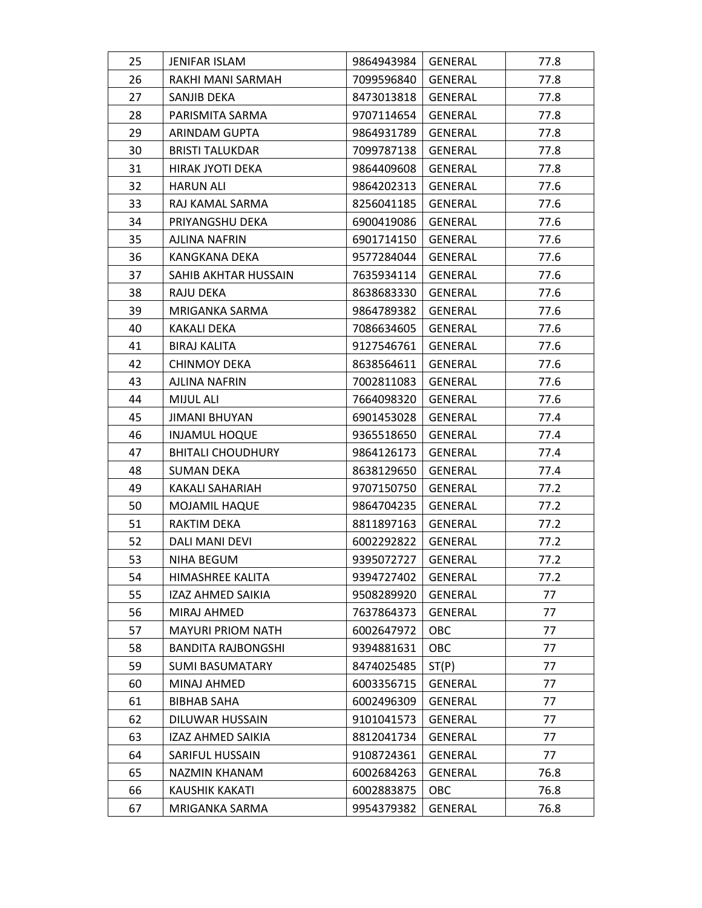| 25 | <b>JENIFAR ISLAM</b>      | 9864943984 | GENERAL        | 77.8 |
|----|---------------------------|------------|----------------|------|
| 26 | RAKHI MANI SARMAH         | 7099596840 | GENERAL        | 77.8 |
| 27 | SANJIB DEKA               | 8473013818 | <b>GENERAL</b> | 77.8 |
| 28 | PARISMITA SARMA           | 9707114654 | <b>GENERAL</b> | 77.8 |
| 29 | <b>ARINDAM GUPTA</b>      | 9864931789 | <b>GENERAL</b> | 77.8 |
| 30 | <b>BRISTI TALUKDAR</b>    | 7099787138 | GENERAL        | 77.8 |
| 31 | HIRAK JYOTI DEKA          | 9864409608 | GENERAL        | 77.8 |
| 32 | HARUN ALI                 | 9864202313 | GENERAL        | 77.6 |
| 33 | RAJ KAMAL SARMA           | 8256041185 | GENERAL        | 77.6 |
| 34 | PRIYANGSHU DEKA           | 6900419086 | <b>GENERAL</b> | 77.6 |
| 35 | AJLINA NAFRIN             | 6901714150 | GENERAL        | 77.6 |
| 36 | KANGKANA DEKA             | 9577284044 | GENERAL        | 77.6 |
| 37 | SAHIB AKHTAR HUSSAIN      | 7635934114 | GENERAL        | 77.6 |
| 38 | RAJU DEKA                 | 8638683330 | GENERAL        | 77.6 |
| 39 | MRIGANKA SARMA            | 9864789382 | GENERAL        | 77.6 |
| 40 | KAKALI DEKA               | 7086634605 | GENERAL        | 77.6 |
| 41 | <b>BIRAJ KALITA</b>       | 9127546761 | <b>GENERAL</b> | 77.6 |
| 42 | <b>CHINMOY DEKA</b>       | 8638564611 | GENERAL        | 77.6 |
| 43 | AJLINA NAFRIN             | 7002811083 | <b>GENERAL</b> | 77.6 |
| 44 | MIJUL ALI                 | 7664098320 | GENERAL        | 77.6 |
| 45 | JIMANI BHUYAN             | 6901453028 | GENERAL        | 77.4 |
| 46 | <b>INJAMUL HOQUE</b>      | 9365518650 | GENERAL        | 77.4 |
| 47 | <b>BHITALI CHOUDHURY</b>  | 9864126173 | GENERAL        | 77.4 |
| 48 | SUMAN DEKA                | 8638129650 | <b>GENERAL</b> | 77.4 |
| 49 | KAKALI SAHARIAH           | 9707150750 | GENERAL        | 77.2 |
| 50 | MOJAMIL HAQUE             | 9864704235 | GENERAL        | 77.2 |
| 51 | RAKTIM DEKA               | 8811897163 | GENERAL        | 77.2 |
| 52 | DALI MANI DEVI            | 6002292822 | GENERAL        | 77.2 |
| 53 | <b>NIHA BEGUM</b>         | 9395072727 | <b>GENERAL</b> | 77.2 |
| 54 | HIMASHREE KALITA          | 9394727402 | <b>GENERAL</b> | 77.2 |
| 55 | IZAZ AHMED SAIKIA         | 9508289920 | <b>GENERAL</b> | 77   |
| 56 | MIRAJ AHMED               | 7637864373 | <b>GENERAL</b> | 77   |
| 57 | <b>MAYURI PRIOM NATH</b>  | 6002647972 | OBC            | 77   |
| 58 | <b>BANDITA RAJBONGSHI</b> | 9394881631 | OBC            | 77   |
| 59 | <b>SUMI BASUMATARY</b>    | 8474025485 | ST(P)          | 77   |
| 60 | MINAJ AHMED               | 6003356715 | GENERAL        | 77   |
| 61 | <b>BIBHAB SAHA</b>        | 6002496309 | GENERAL        | 77   |
| 62 | DILUWAR HUSSAIN           | 9101041573 | <b>GENERAL</b> | 77   |
| 63 | IZAZ AHMED SAIKIA         | 8812041734 | <b>GENERAL</b> | 77   |
| 64 | SARIFUL HUSSAIN           | 9108724361 | <b>GENERAL</b> | 77   |
| 65 | NAZMIN KHANAM             | 6002684263 | <b>GENERAL</b> | 76.8 |
| 66 | KAUSHIK KAKATI            | 6002883875 | OBC            | 76.8 |
| 67 | MRIGANKA SARMA            | 9954379382 | GENERAL        | 76.8 |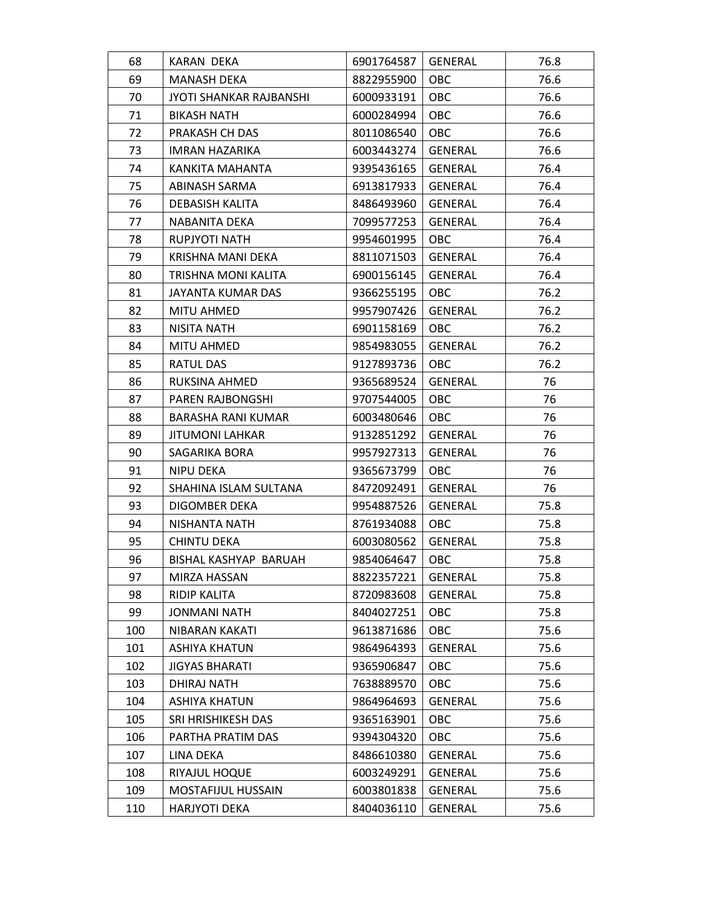| 68  | KARAN DEKA                     | 6901764587 | <b>GENERAL</b> | 76.8 |
|-----|--------------------------------|------------|----------------|------|
| 69  | MANASH DEKA                    | 8822955900 | OBC            | 76.6 |
| 70  | <b>JYOTI SHANKAR RAJBANSHI</b> | 6000933191 | <b>OBC</b>     | 76.6 |
| 71  | BIKASH NATH                    | 6000284994 | <b>OBC</b>     | 76.6 |
| 72  | PRAKASH CH DAS                 | 8011086540 | OBC            | 76.6 |
| 73  | IMRAN HAZARIKA                 | 6003443274 | <b>GENERAL</b> | 76.6 |
| 74  | KANKITA MAHANTA                | 9395436165 | GENERAL        | 76.4 |
| 75  | ABINASH SARMA                  | 6913817933 | <b>GENERAL</b> | 76.4 |
| 76  | DEBASISH KALITA                | 8486493960 | GENERAL        | 76.4 |
| 77  | NABANITA DEKA                  | 7099577253 | <b>GENERAL</b> | 76.4 |
| 78  | RUPJYOTI NATH                  | 9954601995 | <b>OBC</b>     | 76.4 |
| 79  | KRISHNA MANI DEKA              | 8811071503 | GENERAL        | 76.4 |
| 80  | TRISHNA MONI KALITA            | 6900156145 | <b>GENERAL</b> | 76.4 |
| 81  | JAYANTA KUMAR DAS              | 9366255195 | <b>OBC</b>     | 76.2 |
| 82  | MITU AHMED                     | 9957907426 | <b>GENERAL</b> | 76.2 |
| 83  | NISITA NATH                    | 6901158169 | <b>OBC</b>     | 76.2 |
| 84  | MITU AHMED                     | 9854983055 | <b>GENERAL</b> | 76.2 |
| 85  | RATUL DAS                      | 9127893736 | OBC            | 76.2 |
| 86  | RUKSINA AHMED                  | 9365689524 | GENERAL        | 76   |
| 87  | PAREN RAJBONGSHI               | 9707544005 | OBC            | 76   |
| 88  | BARASHA RANI KUMAR             | 6003480646 | <b>OBC</b>     | 76   |
| 89  | <b>JITUMONI LAHKAR</b>         | 9132851292 | <b>GENERAL</b> | 76   |
| 90  | SAGARIKA BORA                  | 9957927313 | GENERAL        | 76   |
| 91  | NIPU DEKA                      | 9365673799 | OBC            | 76   |
| 92  | SHAHINA ISLAM SULTANA          | 8472092491 | <b>GENERAL</b> | 76   |
| 93  | DIGOMBER DEKA                  | 9954887526 | <b>GENERAL</b> | 75.8 |
| 94  | NISHANTA NATH                  | 8761934088 | <b>OBC</b>     | 75.8 |
| 95  | <b>CHINTU DEKA</b>             | 6003080562 | GENERAL        | 75.8 |
| 96  | BISHAL KASHYAP BARUAH          | 9854064647 | OBC            | 75.8 |
| 97  | MIRZA HASSAN                   | 8822357221 | <b>GENERAL</b> | 75.8 |
| 98  | <b>RIDIP KALITA</b>            | 8720983608 | <b>GENERAL</b> | 75.8 |
| 99  | <b>JONMANI NATH</b>            | 8404027251 | OBC            | 75.8 |
| 100 | NIBARAN KAKATI                 | 9613871686 | <b>OBC</b>     | 75.6 |
| 101 | <b>ASHIYA KHATUN</b>           | 9864964393 | <b>GENERAL</b> | 75.6 |
| 102 | <b>JIGYAS BHARATI</b>          | 9365906847 | OBC            | 75.6 |
| 103 | DHIRAJ NATH                    | 7638889570 | OBC            | 75.6 |
| 104 | <b>ASHIYA KHATUN</b>           | 9864964693 | GENERAL        | 75.6 |
| 105 | SRI HRISHIKESH DAS             | 9365163901 | OBC            | 75.6 |
| 106 | PARTHA PRATIM DAS              | 9394304320 | OBC            | 75.6 |
| 107 | LINA DEKA                      | 8486610380 | <b>GENERAL</b> | 75.6 |
| 108 | RIYAJUL HOQUE                  | 6003249291 | <b>GENERAL</b> | 75.6 |
| 109 | MOSTAFIJUL HUSSAIN             | 6003801838 | GENERAL        | 75.6 |
| 110 | <b>HARJYOTI DEKA</b>           | 8404036110 | GENERAL        | 75.6 |